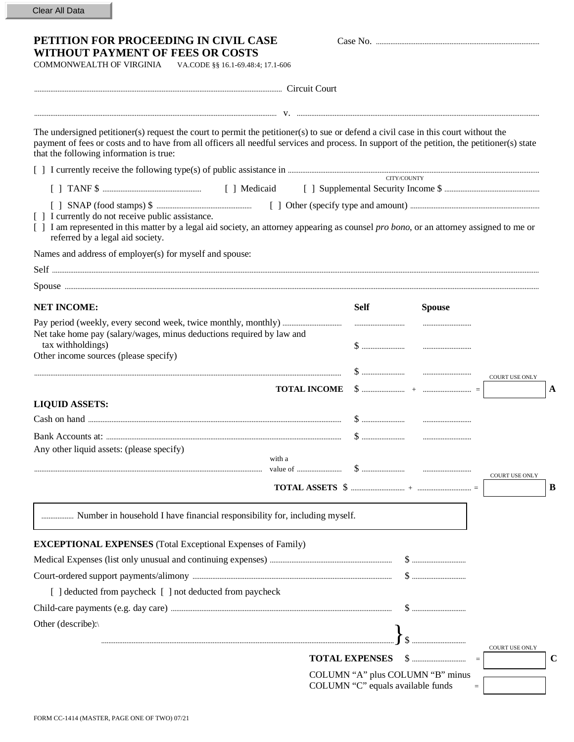| PETITION FOR PROCEEDING IN CIVIL CASE                                                                                                                                                                                                                                                                                          |             |               |                       |
|--------------------------------------------------------------------------------------------------------------------------------------------------------------------------------------------------------------------------------------------------------------------------------------------------------------------------------|-------------|---------------|-----------------------|
| WITHOUT PAYMENT OF FEES OR COSTS                                                                                                                                                                                                                                                                                               |             |               |                       |
| COMMONWEALTH OF VIRGINIA<br>VA.CODE §§ 16.1-69.48:4; 17.1-606                                                                                                                                                                                                                                                                  |             |               |                       |
|                                                                                                                                                                                                                                                                                                                                |             |               |                       |
|                                                                                                                                                                                                                                                                                                                                |             |               |                       |
| The undersigned petitioner(s) request the court to permit the petitioner(s) to sue or defend a civil case in this court without the<br>payment of fees or costs and to have from all officers all needful services and process. In support of the petition, the petitioner(s) state<br>that the following information is true: |             |               |                       |
|                                                                                                                                                                                                                                                                                                                                |             |               |                       |
|                                                                                                                                                                                                                                                                                                                                |             | CITY/COUNTY   |                       |
| [ ] I currently do not receive public assistance.<br>[ ] I am represented in this matter by a legal aid society, an attorney appearing as counsel pro bono, or an attorney assigned to me or<br>referred by a legal aid society.                                                                                               |             |               |                       |
| Names and address of employer(s) for myself and spouse:                                                                                                                                                                                                                                                                        |             |               |                       |
|                                                                                                                                                                                                                                                                                                                                |             |               |                       |
|                                                                                                                                                                                                                                                                                                                                |             |               |                       |
| <b>NET INCOME:</b>                                                                                                                                                                                                                                                                                                             | <b>Self</b> | <b>Spouse</b> |                       |
| Net take home pay (salary/wages, minus deductions required by law and<br>tax withholdings)<br>Other income sources (please specify)                                                                                                                                                                                            |             |               |                       |
|                                                                                                                                                                                                                                                                                                                                |             |               | <b>COURT USE ONLY</b> |
|                                                                                                                                                                                                                                                                                                                                |             |               |                       |
| <b>TOTAL INCOME</b>                                                                                                                                                                                                                                                                                                            |             |               | $\mathbf A$           |
|                                                                                                                                                                                                                                                                                                                                |             |               |                       |
| <b>LIQUID ASSETS:</b>                                                                                                                                                                                                                                                                                                          |             |               |                       |
| Any other liquid assets: (please specify)<br>with a                                                                                                                                                                                                                                                                            |             |               |                       |
|                                                                                                                                                                                                                                                                                                                                |             |               | <b>COURT USE ONLY</b> |
| Number in household I have financial responsibility for, including myself.                                                                                                                                                                                                                                                     |             |               |                       |
|                                                                                                                                                                                                                                                                                                                                |             |               |                       |
| <b>EXCEPTIONAL EXPENSES</b> (Total Exceptional Expenses of Family)                                                                                                                                                                                                                                                             |             |               |                       |
|                                                                                                                                                                                                                                                                                                                                |             |               |                       |
| [ ] deducted from paycheck [ ] not deducted from paycheck                                                                                                                                                                                                                                                                      |             |               |                       |

................................................................................................................................................................... \$ ..............................

COURT USE ONLY

 $\hat{\ }$ 

COLUMN "A" plus COLUMN "B" minus  $COLUMN "C" equals available funds =$ 

**TOTAL EXPENSES** \$ .............................. = **C** 

Other (describe):\